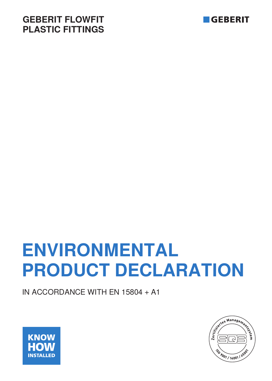## **GEBERIT FLOWFIT PLASTIC FITTINGS**



# **ENVIRONMENTAL PRODUCT DECLARATION**

IN ACCORDANCE WITH EN 15804 + A1



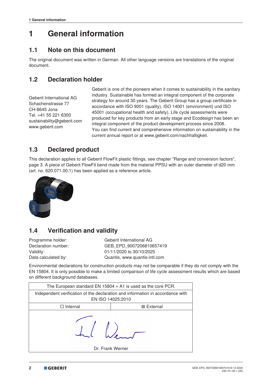## **1 General information**

#### **1.1 Note on this document**

The original document was written in German. All other language versions are translations of the original document.

#### **1.2 Declaration holder**

Geberit International AG Schachenstrasse 77 CH-8645 Jona Tel. +41 55 221 6300 sustainability@geberit.com www.geberit.com

Geberit is one of the pioneers when it comes to sustainability in the sanitary industry. Sustainable has formed an integral component of the corporate strategy for around 30 years. The Geberit Group has a group certificate in accordance with ISO 9001 (quality), ISO 14001 (environment) und ISO 45001 (occupational health and safety). Life cycle assessments were produced for key products from an early stage and Ecodesign has been an integral component of the product development process since 2008. You can find current and comprehensive information on sustainability in the current annual report or at www.geberit.com/nachhaltigkeit.

#### **1.3 Declared product**

This declaration applies to all Geberit FlowFit plastic fittings, see chapter "Range and conversion factors", page 3. A piece of Geberit FlowFit bend made from the material PPSU with an outer diameter of d20 mm (art. no. 620.071.00.1) has been applied as a reference article.



#### **1.4 Verification and validity**

Programme holder: Geberit International AG Declaration number: GEB\_EPD\_9007206810657419 Validity: 01/11/2020 to 30/10/2025 Data calculated by: Quantis, www.quantis-intl.com

Environmental declarations for construction products may not be comparable if they do not comply with the EN 15804. It is only possible to make a limited comparison of life cycle assessment results which are based on different background databases.

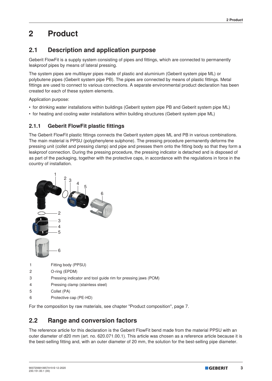## **2 Product**

#### **2.1 Description and application purpose**

Geberit FlowFit is a supply system consisting of pipes and fittings, which are connected to permanently leakproof pipes by means of lateral pressing.

The system pipes are multilayer pipes made of plastic and aluminium (Geberit system pipe ML) or polybutene pipes (Geberit system pipe PB). The pipes are connected by means of plastic fittings. Metal fittings are used to connect to various connections. A separate environmental product declaration has been created for each of these system elements.

Application purpose:

- for drinking water installations within buildings (Geberit system pipe PB and Geberit system pipe ML)
- for heating and cooling water installations within building structures (Geberit system pipe ML)

#### **2.1.1 Geberit FlowFit plastic fittings**

The Geberit FlowFit plastic fittings connects the Geberit system pipes ML and PB in various combinations. The main material is PPSU (polyphenylene sulphone). The pressing procedure permanently deforms the pressing unit (collet and pressing clamp) and pipe and presses them onto the fitting body so that they form a leakproof connection. During the pressing procedure, the pressing indicator is detached and is disposed of as part of the packaging, together with the protective caps, in accordance with the regulations in force in the country of installation.



For the composition by raw materials, see chapter "Product composition", page 7.

#### **2.2 Range and conversion factors**

The reference article for this declaration is the Geberit FlowFit bend made from the material PPSU with an outer diameter of d20 mm (art. no. 620.071.00.1). This article was chosen as a reference article because it is the best-selling fitting and, with an outer diameter of 20 mm, the solution for the best-selling pipe diameter.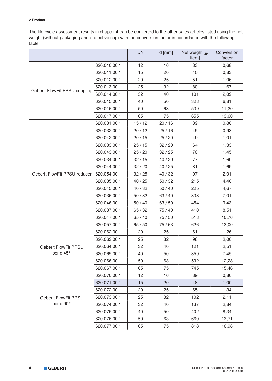The life cycle assessment results in chapter 4 can be converted to the other sales articles listed using the net weight (without packaging and protective cap) with the conversion factor in accordance with the following table.

|                               |              | <b>DN</b>                 | $d$ [mm] | Net weight [g/<br>item] | Conversion<br>factor |
|-------------------------------|--------------|---------------------------|----------|-------------------------|----------------------|
|                               | 620.010.00.1 | 12                        | 16       | 33                      | 0,68                 |
|                               | 620.011.00.1 | 15                        | 20       | 40                      | 0,83                 |
|                               | 620.012.00.1 | 20                        | 25       | 51                      | 1,06                 |
|                               | 620.013.00.1 | 25<br>32<br>80            |          |                         | 1,67                 |
| Geberit FlowFit PPSU coupling | 620.014.00.1 | 32                        | 40       | 101                     | 2,09                 |
|                               | 620.015.00.1 | 40                        | 50       | 328                     | 6,81                 |
|                               | 620.016.00.1 | 50                        | 63       | 539                     | 11,20                |
|                               | 620.017.00.1 | 65                        | 75       | 655                     | 13,60                |
|                               | 620.031.00.1 | 15/12                     | 20/16    | 39                      | 0,80                 |
|                               | 620.032.00.1 | 20/12                     | 25/16    | 45                      | 0,93                 |
|                               | 620.042.00.1 | 20/15                     | 25/20    | 49                      | 1,01                 |
|                               | 620.033.00.1 | 25/15                     | 32/20    | 64                      | 1,33                 |
|                               | 620.043.00.1 | 25/20                     | 32/25    | 70                      | 1,45                 |
|                               | 620.034.00.1 | 32/15                     | 40 / 20  | 77                      | 1,60                 |
|                               | 620.044.00.1 | 32/20                     | 40/25    | 81                      | 1,69                 |
| Geberit FlowFit PPSU reducer  | 620.054.00.1 | 32/25                     | 40 / 32  | 97                      | 2,01                 |
|                               | 620.035.00.1 | 40 / 25                   | 50/32    | 215                     | 4,46                 |
|                               | 620.045.00.1 | 40 / 32<br>50/40<br>225   |          |                         | 4,67                 |
|                               | 620.036.00.1 | 50/32                     | 63 / 40  | 338                     | 7,01                 |
|                               | 620.046.00.1 | $50/40$<br>63 / 50<br>454 |          |                         | 9,43                 |
|                               | 620.037.00.1 | 65/32                     | 75 / 40  | 410                     | 8,51                 |
|                               | 620.047.00.1 | 65/40                     | 75 / 50  | 518                     | 10,76                |
|                               | 620.057.00.1 | 65/50                     | 75 / 63  | 626                     | 13,00                |
|                               | 620.062.00.1 | 20                        | 25       | 61                      | 1,26                 |
|                               | 620.063.00.1 | 25                        | 32       | 96                      | 2,00                 |
| Geberit FlowFit PPSU          | 620.064.00.1 | 32                        | 40       | 121                     | 2,51                 |
| bend 45°                      | 620.065.00.1 | 40                        | 50       | 359                     | 7,45                 |
|                               | 620.066.00.1 | 50                        | 63       | 592                     | 12,28                |
|                               | 620.067.00.1 | 65                        | 75       | 745                     | 15,46                |
|                               | 620.070.00.1 | 12                        | 16       | 39                      | 0,80                 |
|                               | 620.071.00.1 | 15                        | 20       | 48                      | 1,00                 |
|                               | 620.072.00.1 | 20                        | 25       | 65                      | 1,34                 |
| <b>Geberit FlowFit PPSU</b>   | 620.073.00.1 | 25                        | 32       | 102                     | 2,11                 |
| bend 90°                      | 620.074.00.1 | 32                        | 40       | 137                     | 2,84                 |
|                               | 620.075.00.1 | 40                        | 50       | 402                     | 8,34                 |
|                               | 620.076.00.1 | 50                        | 63       | 660                     | 13,71                |
|                               | 620.077.00.1 | 65                        | 75       | 818                     | 16,98                |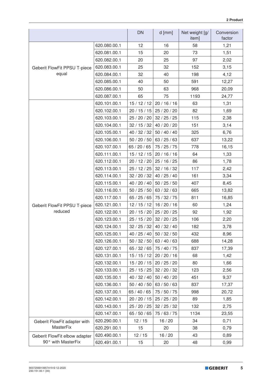|                               |                          | <b>DN</b>                           | $d$ [mm]                | Net weight [g/<br>item] | Conversion<br>factor |
|-------------------------------|--------------------------|-------------------------------------|-------------------------|-------------------------|----------------------|
|                               | 620.080.00.1             | 12                                  | 16                      | 58                      | 1,21                 |
|                               | 620.081.00.1             | 15                                  | 20                      | 73                      | 1,51                 |
|                               | 620.082.00.1             | 20                                  | 25                      | 97                      | 2,02                 |
| Geberit FlowFit PPSU T-piece  | 620.083.00.1             | 25                                  | 32                      | 152                     | 3,15                 |
| equal                         | 620.084.00.1             | 32                                  | 40                      | 198                     | 4,12                 |
|                               | 620.085.00.1             | 40                                  | 50                      | 591                     | 12,27                |
|                               | 620.086.00.1<br>50<br>63 |                                     | 968                     | 20,09                   |                      |
|                               | 620.087.00.1             | 65                                  | 75                      | 1193                    | 24,77                |
|                               | 620.101.00.1             | 15/12/12                            | 20/16/16                | 63                      | 1,31                 |
|                               | 620.102.00.1             | 20/15/15                            | 25 / 20 / 20            | 82                      | 1,69                 |
|                               | 620.103.00.1             | 25 / 20 / 20                        | 32/25/25                | 115                     | 2,38                 |
|                               | 620.104.00.1             | 32/15/32                            | 40 / 20 / 20            | 151                     | 3,14                 |
|                               | 620.105.00.1             | 40 / 32 / 32                        | 50/40/40                | 325                     | 6,76                 |
|                               | 620.106.00.1             | 50/20/50                            | 63 / 25 / 63            | 637                     | 13,22                |
|                               | 620.107.00.1             | 65 / 20 / 65                        | 75 / 25 / 75            | 778                     | 16,15                |
|                               | 620.111.00.1             | 15/12/15                            | 20/16/16                | 64                      | 1,33                 |
|                               | 620.112.00.1             | 20/12/20                            | 25/16/25                | 86                      | 1,78                 |
|                               | 620.113.00.1             | 25/12/25                            | 32/16/32                | 117                     | 2,42                 |
|                               | 620.114.00.1             | 32 / 20 / 32<br>40 / 25 / 40<br>161 |                         |                         | 3,34                 |
|                               | 620.115.00.1             | 40 / 20 / 40                        | 50/25/50                | 407                     | 8,45                 |
|                               | 620.116.00.1             | 50/25/50                            | 63 / 32 / 63            | 665                     | 13,82                |
|                               | 620.117.00.1             | 65/25/65                            | 75 / 32 / 75            | 811                     | 16,85                |
| Geberit FlowFit PPSU T-piece  | 620.121.00.1             | 12/15/12                            | 16/20/16                | 60                      | 1,24                 |
| reduced                       | 620.122.00.1             | 20/15/20                            | 25 / 20 / 25            | 92                      | 1,92                 |
|                               | 620.123.00.1             | 25/15/20                            | 32/20/25                | 106                     | 2,20                 |
|                               | 620.124.00.1             |                                     | $32/25/32$ 40 / 32 / 40 | 182                     | 3,78                 |
|                               | 620.125.00.1             | 40 / 25 / 40                        | 50/32/50                | 432                     | 8,96                 |
|                               | 620.126.00.1             | 50/32/50                            | 63 / 40 / 63            | 688                     | 14,28                |
|                               | 620.127.00.1             | 65 / 32 / 65                        | 75 / 40 / 75            | 837                     | 17,39                |
|                               | 620.131.00.1             | 15/15/12                            | 20/20/16                | 68                      | 1,42                 |
|                               | 620.132.00.1             | 15/20/15                            | 20/25/20                | 80                      | 1,66                 |
|                               | 620.133.00.1             | 25/15/25                            | 32/20/32                | 123                     | 2,56                 |
|                               | 620.135.00.1             | 40 / 32 / 40                        | 50 / 40 / 20            | 451                     | 9,37                 |
|                               | 620.136.00.1             | 50 / 40 / 50                        | 63 / 50 / 63            | 837                     | 17,37                |
|                               | 620.137.00.1             | 65 / 40 / 65                        | 75 / 50 / 75            | 998                     | 20,72                |
|                               | 620.142.00.1             | 20 / 20 / 15                        | 25/25/20                | 89                      | 1,85                 |
|                               | 620.143.00.1             | 25 / 20 / 25                        | 32 / 25 / 32            | 132                     | 2,75                 |
|                               | 620.147.00.1             | 65/50/65                            | 75 / 63 / 75            | 1134                    | 23,55                |
| Geberit FlowFit adapter with  | 620.290.00.1             | 12/15                               | 16/20                   | 34                      | 0,71                 |
| <b>MasterFix</b>              | 620.291.00.1             | 15                                  | 20                      | 38                      | 0,79                 |
| Geberit FlowFit elbow adapter | 620.490.00.1             | 12/15                               | 16/20                   | 43                      | 0,89                 |
| 90° with MasterFix            | 620.491.00.1             | 15                                  | 20                      | 48                      | 0,99                 |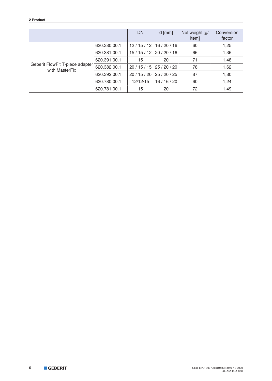#### **2 Product**

|                                                   | <b>DN</b>                                  | $d$ [mm] | Net weight [g/<br>item] | Conversion<br>factor |      |
|---------------------------------------------------|--------------------------------------------|----------|-------------------------|----------------------|------|
|                                                   | 620.380.00.1                               | 12/15/12 | 16/20/16                | 60                   | 1,25 |
|                                                   | 66<br>15/15/12<br>20/20/16<br>620.381.00.1 |          |                         | 1,36                 |      |
|                                                   | 620.391.00.1                               | 15       | 20                      | 71                   | 1,48 |
| Geberit FlowFit T-piece adapter<br>with MasterFix | 620.382.00.1                               | 20/15/15 | 25/20/20                | 78                   | 1,62 |
|                                                   | 620.392.00.1                               | 20/15/20 | 25/20/25                | 87                   | 1,80 |
|                                                   | 620.780.00.1                               | 12/12/15 | 16 / 16 / 20            | 60                   | 1,24 |
|                                                   | 620.781.00.1                               | 15       | 20                      | 72                   | 1,49 |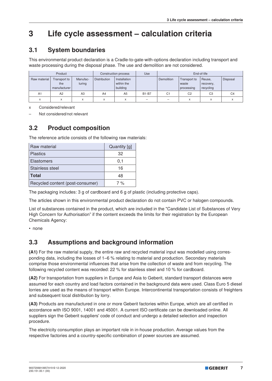## **3 Life cycle assessment – calculation criteria**

#### **3.1 System boundaries**

This environmental product declaration is a Cradle-to-gate-with-options declaration including transport and waste processing during the disposal phase. The use and demolition are not considered.

| Product        |                                     | Construction process |                     | Use                                    | End-of-life  |                |                                     |                                  |                |
|----------------|-------------------------------------|----------------------|---------------------|----------------------------------------|--------------|----------------|-------------------------------------|----------------------------------|----------------|
| Raw material   | Transport to<br>the<br>manufacturer | Manufac-<br>turing   | <b>Distribution</b> | Installation<br>within the<br>building |              | Demolition     | Transport to<br>waste<br>processing | Reuse,<br>recovery,<br>recycling | Disposal       |
| A <sub>1</sub> | A2                                  | A3                   | A4                  | A <sub>5</sub>                         | <b>B1-B7</b> | C <sub>1</sub> | C <sub>2</sub>                      | C <sub>3</sub>                   | C <sub>4</sub> |
| $\checkmark$   | $\checkmark$<br>A                   | $\checkmark$<br>ᄉ    | X                   | X                                      | -            | -              | X                                   | $\checkmark$                     |                |

x Considered/relevant

– Not considered/not relevant

#### **3.2 Product composition**

The reference article consists of the following raw materials:

| Raw material                     | Quantity [g] |
|----------------------------------|--------------|
| <b>Plastics</b>                  | 32           |
| <b>Elastomers</b>                | 0,1          |
| <b>Stainless steel</b>           | 16           |
| <b>Total</b>                     | 48           |
| Recycled content (post-consumer) | 7%           |

The packaging includes: 3 g of cardboard and 6 g of plastic (including protective caps).

The articles shown in this environmental product declaration do not contain PVC or halogen compounds.

List of substances contained in the product, which are included in the "Candidate List of Substances of Very High Concern for Authorisation" if the content exceeds the limits for their registration by the European Chemicals Agency:

• none

#### **3.3 Assumptions and background information**

**(A1)** For the raw material supply, the entire raw and recycled material input was modelled using corresponding data, including the losses of 1–6 % relating to material and production. Secondary materials comprise those environmental influences that arise from the collection of waste and from recycling. The following recycled content was recorded: 22 % for stainless steel and 10 % for cardboard.

**(A2)** For transportation from suppliers in Europe and Asia to Geberit, standard transport distances were assumed for each country and load factors contained in the background data were used. Class Euro 5 diesel lorries are used as the means of transport within Europe. Intercontinental transportation consists of freighters and subsequent local distribution by lorry.

**(A3)** Products are manufactured in one or more Geberit factories within Europe, which are all certified in accordance with ISO 9001, 14001 and 45001. A current ISO certificate can be downloaded online. All suppliers sign the Geberit suppliers' code of conduct and undergo a detailed selection and inspection procedure.

The electricity consumption plays an important role in in-house production. Average values from the respective factories and a country-specific combination of power sources are assumed.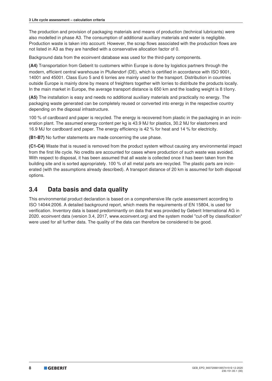The production and provision of packaging materials and means of production (technical lubricants) were also modelled in phase A3. The consumption of additional auxiliary materials and water is negligible. Production waste is taken into account. However, the scrap flows associated with the production flows are not listed in A3 as they are handled with a conservative allocation factor of 0.

Background data from the ecoinvent database was used for the third-party components.

**(A4)** Transportation from Geberit to customers within Europe is done by logistics partners through the modern, efficient central warehouse in Pfullendorf (DE), which is certified in accordance with ISO 9001, 14001 and 45001. Class Euro 5 and 6 lorries are mainly used for the transport. Distribution in countries outside Europe is mainly done by means of freighters together with lorries to distribute the products locally. In the main market in Europe, the average transport distance is 650 km and the loading weight is 8 t/lorry.

**(A5)** The installation is easy and needs no additional auxiliary materials and practically no energy. The packaging waste generated can be completely reused or converted into energy in the respective country depending on the disposal infrastructure.

100 % of cardboard and paper is recycled. The energy is recovered from plastic in the packaging in an incineration plant. The assumed energy content per kg is 43.9 MJ for plastics, 30.2 MJ for elastomers and 16.9 MJ for cardboard and paper. The energy efficiency is 42 % for heat and 14 % for electricity.

**(B1-B7)** No further statements are made concerning the use phase.

**(C1-C4)** Waste that is reused is removed from the product system without causing any environmental impact from the first life cycle. No credits are accounted for cases where production of such waste was avoided. With respect to disposal, it has been assumed that all waste is collected once it has been taken from the building site and is sorted appropriately. 100 % of all metal parts are recycled. The plastic parts are incinerated (with the assumptions already described). A transport distance of 20 km is assumed for both disposal options.

#### **3.4 Data basis and data quality**

This environmental product declaration is based on a comprehensive life cycle assessment according to ISO 14044:2006. A detailed background report, which meets the requirements of EN 15804, is used for verification. Inventory data is based predominantly on data that was provided by Geberit International AG in 2020. ecoinvent data (version 3.4, 2017, www.ecoinvent.org) and the system model "cut-off by classification" were used for all further data. The quality of the data can therefore be considered to be good.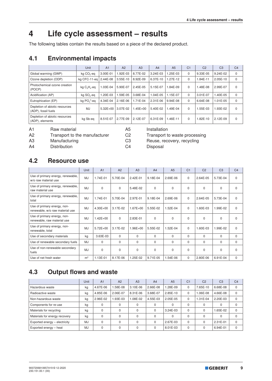## **4 Life cycle assessment – results**

The following tables contain the results based on a piece of the declared product.

#### **4.1 Environmental impacts**

|                                                       | Unit                   | A <sub>1</sub> | A2       | A3           | A4       | A <sub>5</sub> | C <sub>1</sub> | C <sub>2</sub> | C <sub>3</sub> | C <sub>4</sub> |
|-------------------------------------------------------|------------------------|----------------|----------|--------------|----------|----------------|----------------|----------------|----------------|----------------|
| Global warming (GWP)                                  | kg CO <sub>2</sub> -eg | 3.00E-01       | 1.92E-03 | 8.77E-02     | 3.24E-03 | $.25E - 03$    | 0              | 9.33E-05       | 9.24E-02       | $\mathbf 0$    |
| Ozone depletion (ODP)                                 | ka CFC-11-ea           | 2.44E-08       | 3.55E-10 | 8.92E-09     | 6.37E-10 | L27E-12        | $\Omega$       | 1.84E-11       | 2.05E-10       | $\Omega$       |
| Photochemical ozone creation<br>(POCP)                | kg $C_2H_4$ -eq        | 1.03E-04       | 5.90E-07 | 2.45E-05     | 5.15E-07 | $.84E-09$      | $\Omega$       | 1.48E-08       | 2.99E-07       | $\Omega$       |
| Acidification (AP)                                    | kg SO <sub>2</sub> -eq | $.20E - 03$    | 1.59E-05 | 3.68E-04     | 1.04E-05 | 1.15E-07       | $\Omega$       | 3.01E-07       | 1.40E-05       | 0              |
| Eutrophication (EP)                                   | kg $PO43$ -eg          | 4.34E-04       | 2.16E-06 | 1.71E-04     | 2.31E-06 | 9.94E-08       | $\Omega$       | 6.64E-08       | 1.01E-05       | $\mathbf 0$    |
| Depletion of abiotic resources<br>(ADP), fossil fuels | <b>MJ</b>              | $5.32E + 00$   | 3.07E-02 | $1.45E + 00$ | 5.40E-02 | 1.49E-04       | $\Omega$       | 1.55E-03       | 1.93E-02       | $\Omega$       |
| Depletion of abiotic resources<br>(ADP), elements     | kg Sb-eg               | 8.51E-07       | 2.77E-09 | 2.12E-07     | 6.31E-09 | .46E-11        | $\Omega$       | 1.82E-10       | 2.12E-09       | $\Omega$       |

A1 Raw material A5 Installation

A2 Transport to the manufacturer C2 Transport to waste processing

A3 Manufacturing C3 Reuse, recovery, recycling

A4 Distribution C4 Disposal

**4.2 Resource use**

|                                                                | <b>Unit</b>    | A <sub>1</sub> | A2           | A3           | A <sub>4</sub> | A <sub>5</sub> | C <sub>1</sub> | C <sub>2</sub> | C <sub>3</sub> | C <sub>4</sub> |
|----------------------------------------------------------------|----------------|----------------|--------------|--------------|----------------|----------------|----------------|----------------|----------------|----------------|
| Use of primary energy, renewable,<br>w/o raw material use      | MJ             | 1.74E-01       | 5.70E-04     | 2.42E-01     | 9.18E-04       | 2.69E-06       | $\mathbf 0$    | 2.64E-05       | 5.73E-04       | $\mathbf 0$    |
| Use of primary energy, renewable,<br>raw material use          | MJ             | $\Omega$       | $\Omega$     | 5.48E-02     | $\mathbf 0$    | $\mathbf 0$    | $\Omega$       | $\mathbf 0$    | 0              | $\mathbf 0$    |
| Use of primary energy, renewable,<br>total                     | MJ             | 1.74E-01       | 5.70E-04     | 2.97E-01     | 9.18E-04       | 2.69E-06       | $\mathbf 0$    | 2.64E-05       | 5.73E-04       | $\Omega$       |
| Use of primary energy, non-<br>renewable, w/o raw material use | MJ             | $4.30E + 00$   | 3.17E-02     | $1.67E + 00$ | 5.55E-02       | 1.52E-04       | $\mathbf 0$    | 1.60E-03       | 1.99E-02       | $\mathbf 0$    |
| Use of primary energy, non-<br>renewable, raw material use     | MJ             | $1.42E + 00$   | $\mathbf 0$  | 2.83E-01     | $\mathbf 0$    | $\mathbf 0$    | $\mathbf 0$    | $\mathbf 0$    | 0              | $\mathbf 0$    |
| Use of primary energy, non-<br>renewable, total                | MJ             | $5.72E + 00$   | 3.17E-02     | 1.96E+00     | 5.55E-02       | 1.52E-04       | $\Omega$       | 1.60E-03       | 1.99E-02       | $\Omega$       |
| Use of secondary materials                                     | kg             | 3.63E-03       | $\mathbf{0}$ | $\Omega$     | $\Omega$       | $\mathbf 0$    | $\Omega$       | $\Omega$       | $\Omega$       | $\mathbf 0$    |
| Use of renewable secondary fuels                               | MJ             | $\Omega$       | $\Omega$     | $\Omega$     | 0              | 0              | $\mathbf 0$    | 0              | 0              | 0              |
| Use of non-renewable secondary<br>fuels                        | MJ             | $\Omega$       | $\Omega$     | $\Omega$     | 0              | $\mathbf 0$    | $\Omega$       | $\Omega$       | $\Omega$       | $\mathbf 0$    |
| Use of net fresh water                                         | m <sup>3</sup> | 1.13E-01       | 8.17E-06     | 1.25E-02     | 9.71E-05       | 1.54E-06       | $\mathbf 0$    | 2.80E-06       | 6.91E-04       | $\mathbf 0$    |

### **4.3 Output flows and waste**

|                               | Unit      | A <sub>1</sub> | A2       | A <sub>3</sub> | A <sub>4</sub> | A <sub>5</sub> | C <sub>1</sub> | C <sub>2</sub> | C <sub>3</sub> | C <sub>4</sub> |
|-------------------------------|-----------|----------------|----------|----------------|----------------|----------------|----------------|----------------|----------------|----------------|
| Hazardous waste               | kg        | 4.67E-06       | .58E-08  | 3.10E-06       | 2.66E-08       | 1.28E-09       | 0              | 7.65E-10       | 6.68E-08       | 0              |
| Radioactive waste             | kg        | 4.85E-06       | 2.06E-07 | 8.31E-06       | 3.68E-07       | 2.85E-10       | $\Omega$       | 1.06E-08       | 4.66E-08       | $\Omega$       |
| Non-hazardous waste           | kg        | 2.96E-02       | 1.93E-03 | 1.08E-02       | 4.55E-03       | 2.05E-05       | 0              | 1.31E-04       | 2.20E-03       | 0              |
| Components for re-use         | kg        | $\Omega$       |          | 0              | 0              | $\Omega$       | $\Omega$       | $\Omega$       | 0              |                |
| Materials for recycling       | kg        | $\Omega$       | $\Omega$ | $\Omega$       | 0              | 3.24E-03       | $\Omega$       | $\Omega$       | 1.65E-02       | $\Omega$       |
| Materials for energy recovery | kg        | $\Omega$       | $\Omega$ | 0              | $\Omega$       | $\Omega$       | $\Omega$       | $\Omega$       | 0              |                |
| Exported energy - electricity | <b>MJ</b> | $\Omega$       | $\Omega$ | 0              | 0              | 2.67E-03       | $\Omega$       |                | 2.31E-01       | $\Omega$       |
| Exported energy - heat        | MJ.       | $\mathbf{0}$   | $\Omega$ | 0              | 0              | 8.01E-03       | $\Omega$       |                | 6.94E-01       | $\Omega$       |